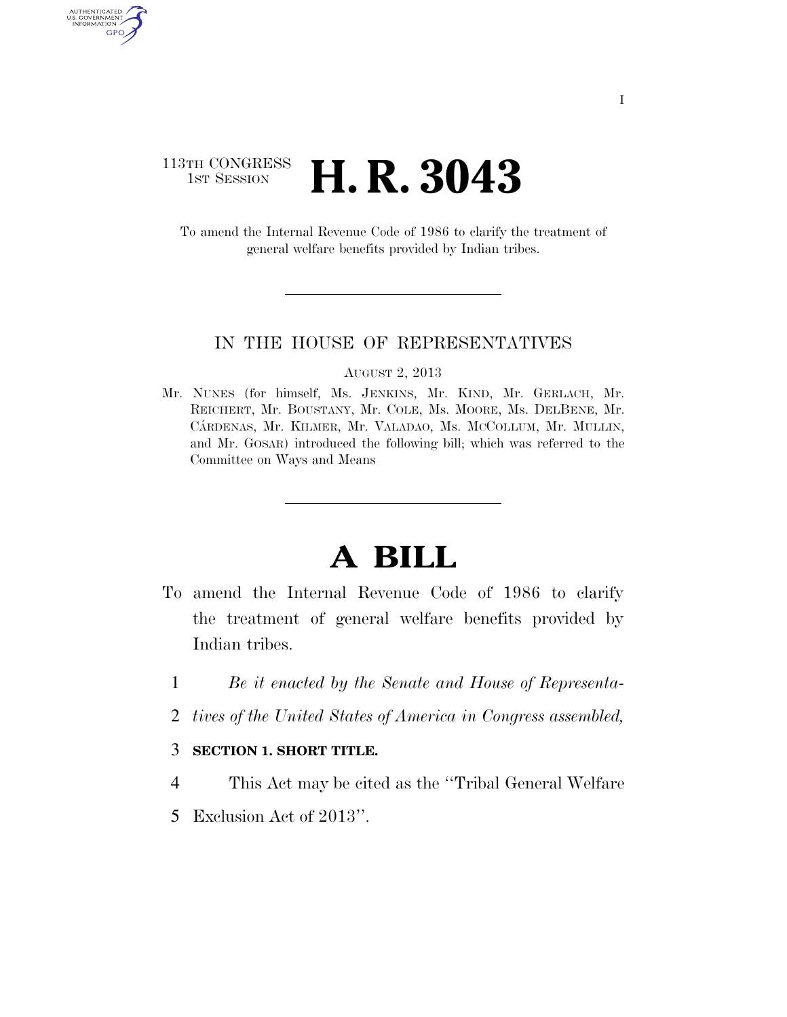# 113TH CONGRESS <sup>TH CONGRESS</sup> **H. R. 3043**

AUTHENTICATED<br>U.S. GOVERNMENT<br>INFORMATION GPO

> To amend the Internal Revenue Code of 1986 to clarify the treatment of general welfare benefits provided by Indian tribes.

#### IN THE HOUSE OF REPRESENTATIVES

#### AUGUST 2, 2013

Mr. NUNES (for himself, Ms. JENKINS, Mr. KIND, Mr. GERLACH, Mr. REICHERT, Mr. BOUSTANY, Mr. COLE, Ms. MOORE, Ms. DELBENE, Mr. CA´RDENAS, Mr. KILMER, Mr. VALADAO, Ms. MCCOLLUM, Mr. MULLIN, and Mr. GOSAR) introduced the following bill; which was referred to the Committee on Ways and Means

# **A BILL**

- To amend the Internal Revenue Code of 1986 to clarify the treatment of general welfare benefits provided by Indian tribes.
	- 1 *Be it enacted by the Senate and House of Representa-*
	- 2 *tives of the United States of America in Congress assembled,*

### 3 **SECTION 1. SHORT TITLE.**

- 4 This Act may be cited as the ''Tribal General Welfare
- 5 Exclusion Act of 2013''.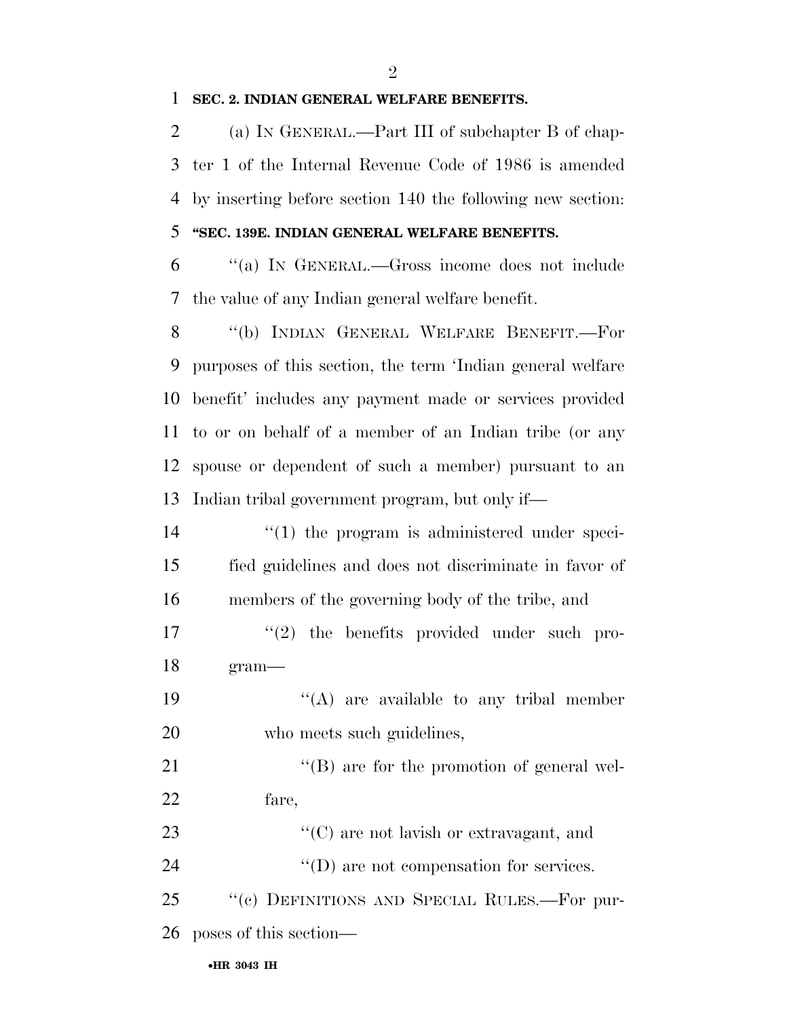#### **SEC. 2. INDIAN GENERAL WELFARE BENEFITS.**

 (a) IN GENERAL.—Part III of subchapter B of chap- ter 1 of the Internal Revenue Code of 1986 is amended by inserting before section 140 the following new section:

## **''SEC. 139E. INDIAN GENERAL WELFARE BENEFITS.**

 ''(a) IN GENERAL.—Gross income does not include the value of any Indian general welfare benefit.

 ''(b) INDIAN GENERAL WELFARE BENEFIT.—For purposes of this section, the term 'Indian general welfare benefit' includes any payment made or services provided to or on behalf of a member of an Indian tribe (or any spouse or dependent of such a member) pursuant to an Indian tribal government program, but only if—

14  $\qquad$  (1) the program is administered under speci- fied guidelines and does not discriminate in favor of members of the governing body of the tribe, and

- 17  $\frac{1}{2}$  the benefits provided under such pro-gram—
- 19  $((A)$  are available to any tribal member who meets such guidelines,

21 ''(B) are for the promotion of general wel-fare,

23 ''(C) are not lavish or extravagant, and 24  $''(D)$  are not compensation for services.

 ''(c) DEFINITIONS AND SPECIAL RULES.—For pur-poses of this section—

•**HR 3043 IH**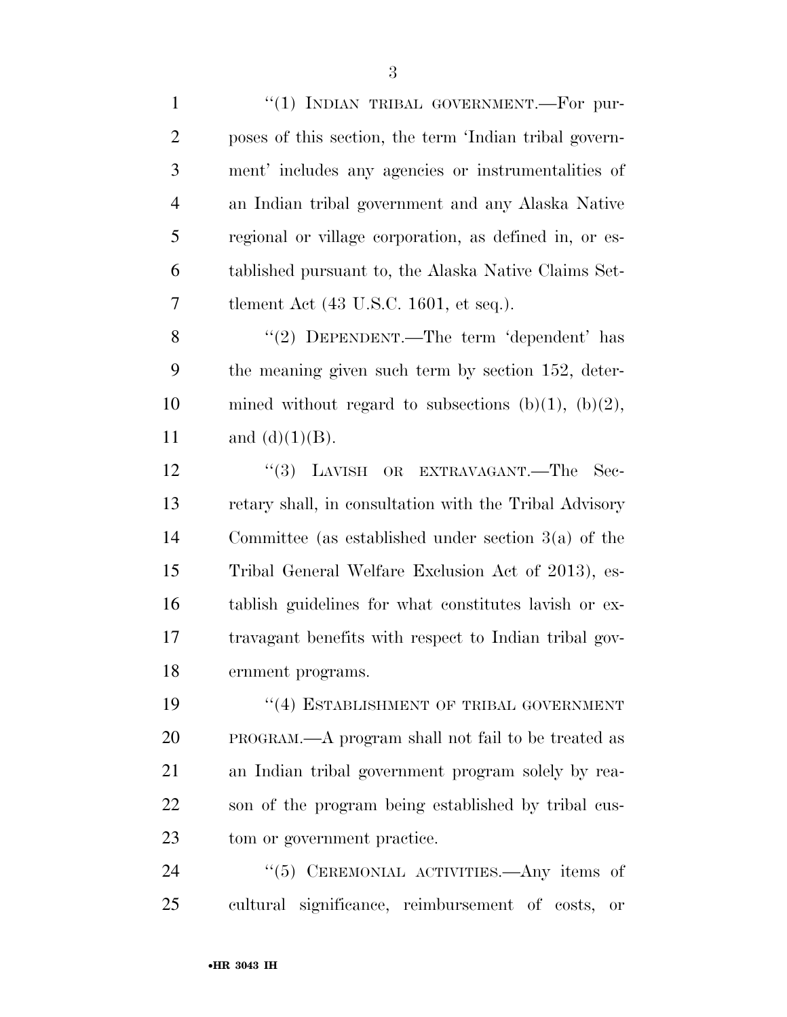1 "(1) INDIAN TRIBAL GOVERNMENT.—For pur- poses of this section, the term 'Indian tribal govern- ment' includes any agencies or instrumentalities of an Indian tribal government and any Alaska Native regional or village corporation, as defined in, or es- tablished pursuant to, the Alaska Native Claims Set-tlement Act (43 U.S.C. 1601, et seq.).

8 "(2) DEPENDENT.—The term 'dependent' has the meaning given such term by section 152, deter-10 mined without regard to subsections  $(b)(1)$ ,  $(b)(2)$ , 11 and  $(d)(1)(B)$ .

12 "(3) LAVISH OR EXTRAVAGANT.—The Sec- retary shall, in consultation with the Tribal Advisory Committee (as established under section 3(a) of the Tribal General Welfare Exclusion Act of 2013), es- tablish guidelines for what constitutes lavish or ex- travagant benefits with respect to Indian tribal gov-ernment programs.

19 "(4) ESTABLISHMENT OF TRIBAL GOVERNMENT PROGRAM.—A program shall not fail to be treated as an Indian tribal government program solely by rea- son of the program being established by tribal cus-tom or government practice.

24 "(5) CEREMONIAL ACTIVITIES.—Any items of cultural significance, reimbursement of costs, or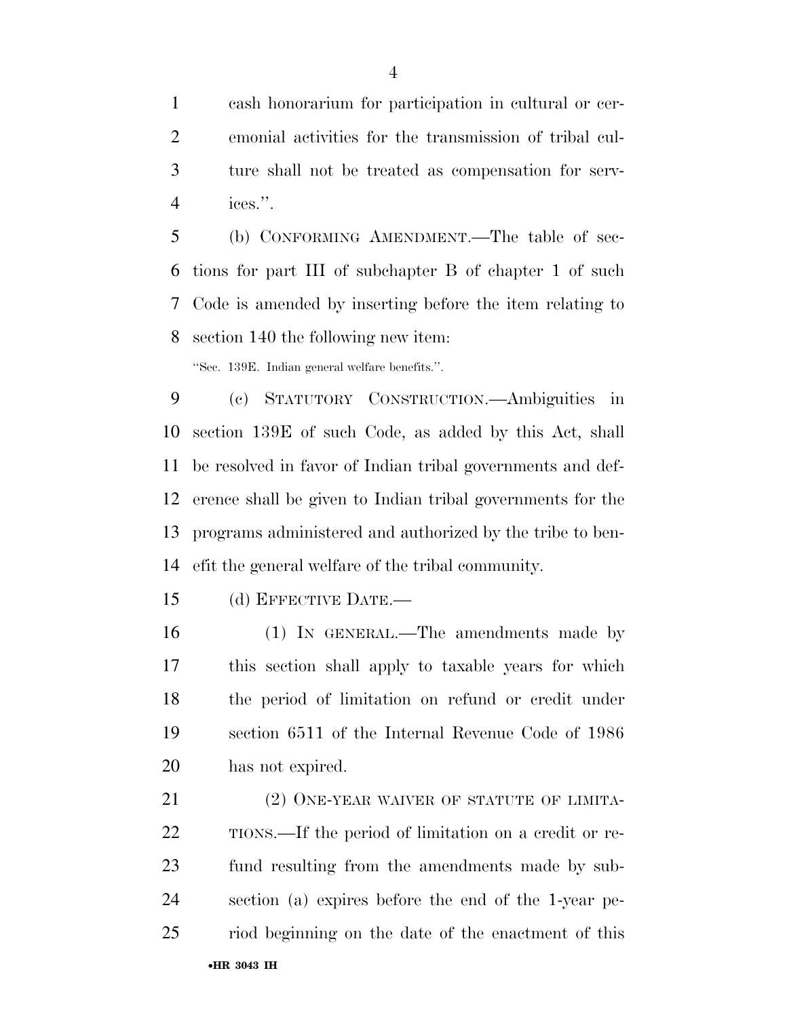cash honorarium for participation in cultural or cer- emonial activities for the transmission of tribal cul- ture shall not be treated as compensation for serv-ices.''.

 (b) CONFORMING AMENDMENT.—The table of sec- tions for part III of subchapter B of chapter 1 of such Code is amended by inserting before the item relating to section 140 the following new item:

''Sec. 139E. Indian general welfare benefits.''.

 (c) STATUTORY CONSTRUCTION.—Ambiguities in section 139E of such Code, as added by this Act, shall be resolved in favor of Indian tribal governments and def- erence shall be given to Indian tribal governments for the programs administered and authorized by the tribe to ben-efit the general welfare of the tribal community.

(d) EFFECTIVE DATE.—

 (1) IN GENERAL.—The amendments made by this section shall apply to taxable years for which the period of limitation on refund or credit under section 6511 of the Internal Revenue Code of 1986 has not expired.

•**HR 3043 IH** 21 (2) ONE-YEAR WAIVER OF STATUTE OF LIMITA- TIONS.—If the period of limitation on a credit or re- fund resulting from the amendments made by sub- section (a) expires before the end of the 1-year pe-riod beginning on the date of the enactment of this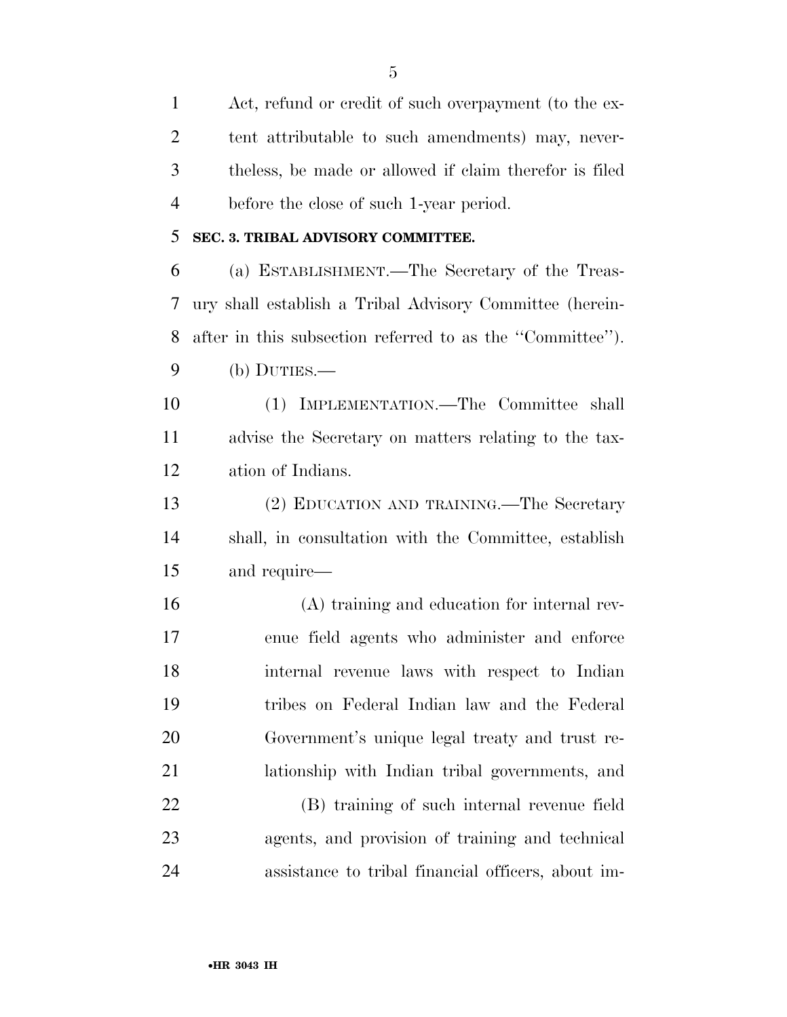Act, refund or credit of such overpayment (to the ex- tent attributable to such amendments) may, never- theless, be made or allowed if claim therefor is filed before the close of such 1-year period.

### **SEC. 3. TRIBAL ADVISORY COMMITTEE.**

 (a) ESTABLISHMENT.—The Secretary of the Treas- ury shall establish a Tribal Advisory Committee (herein- after in this subsection referred to as the ''Committee''). (b) DUTIES.—

 (1) IMPLEMENTATION.—The Committee shall advise the Secretary on matters relating to the tax-ation of Indians.

 (2) EDUCATION AND TRAINING.—The Secretary shall, in consultation with the Committee, establish and require—

 (A) training and education for internal rev- enue field agents who administer and enforce internal revenue laws with respect to Indian tribes on Federal Indian law and the Federal Government's unique legal treaty and trust re-lationship with Indian tribal governments, and

 (B) training of such internal revenue field agents, and provision of training and technical assistance to tribal financial officers, about im-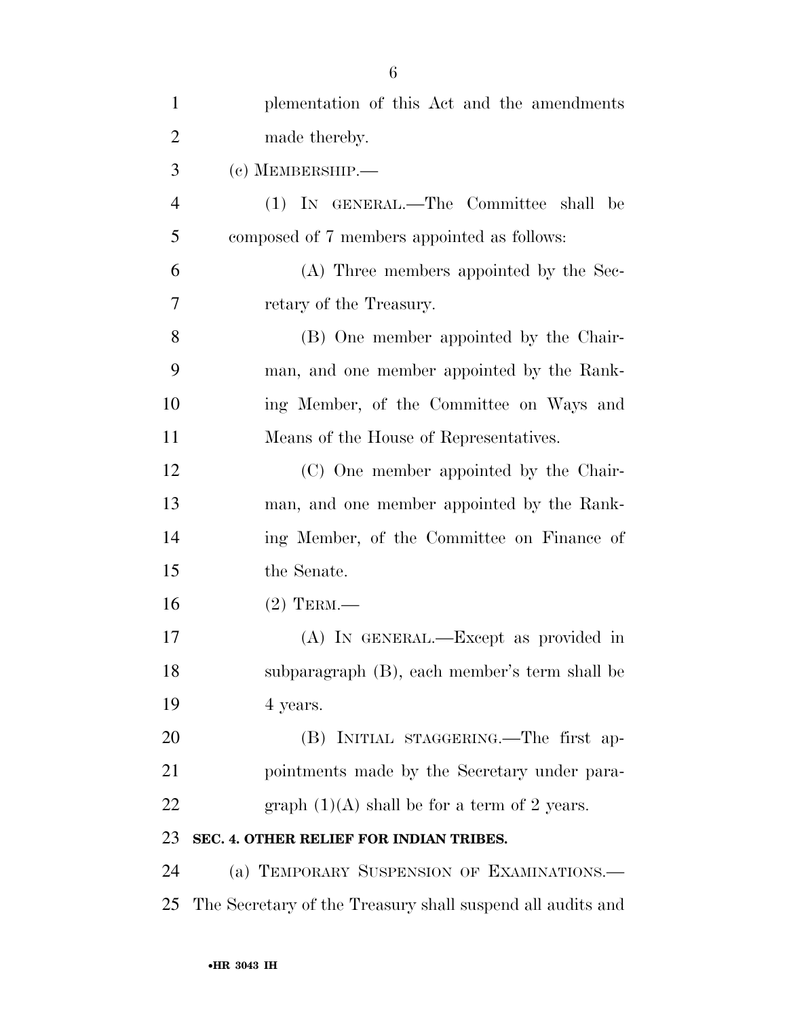| $\mathbf{1}$   | plementation of this Act and the amendments                |
|----------------|------------------------------------------------------------|
| $\overline{2}$ | made thereby.                                              |
| 3              | $(c)$ MEMBERSHIP.—                                         |
| $\overline{4}$ | (1) IN GENERAL.—The Committee shall be                     |
| 5              | composed of 7 members appointed as follows:                |
| 6              | (A) Three members appointed by the Sec-                    |
| 7              | retary of the Treasury.                                    |
| 8              | (B) One member appointed by the Chair-                     |
| 9              | man, and one member appointed by the Rank-                 |
| 10             | ing Member, of the Committee on Ways and                   |
| 11             | Means of the House of Representatives.                     |
| 12             | (C) One member appointed by the Chair-                     |
| 13             | man, and one member appointed by the Rank-                 |
| 14             | ing Member, of the Committee on Finance of                 |
| 15             | the Senate.                                                |
| 16             | $(2)$ TERM.—                                               |
| 17             | (A) IN GENERAL.—Except as provided in                      |
| 18             | subparagraph (B), each member's term shall be              |
| 19             | 4 years.                                                   |
| 20             | (B) INITIAL STAGGERING.—The first ap-                      |
| 21             | pointments made by the Secretary under para-               |
| 22             | graph $(1)(A)$ shall be for a term of 2 years.             |
| 23             | SEC. 4. OTHER RELIEF FOR INDIAN TRIBES.                    |
| 24             | (a) TEMPORARY SUSPENSION OF EXAMINATIONS.—                 |
| 25             | The Secretary of the Treasury shall suspend all audits and |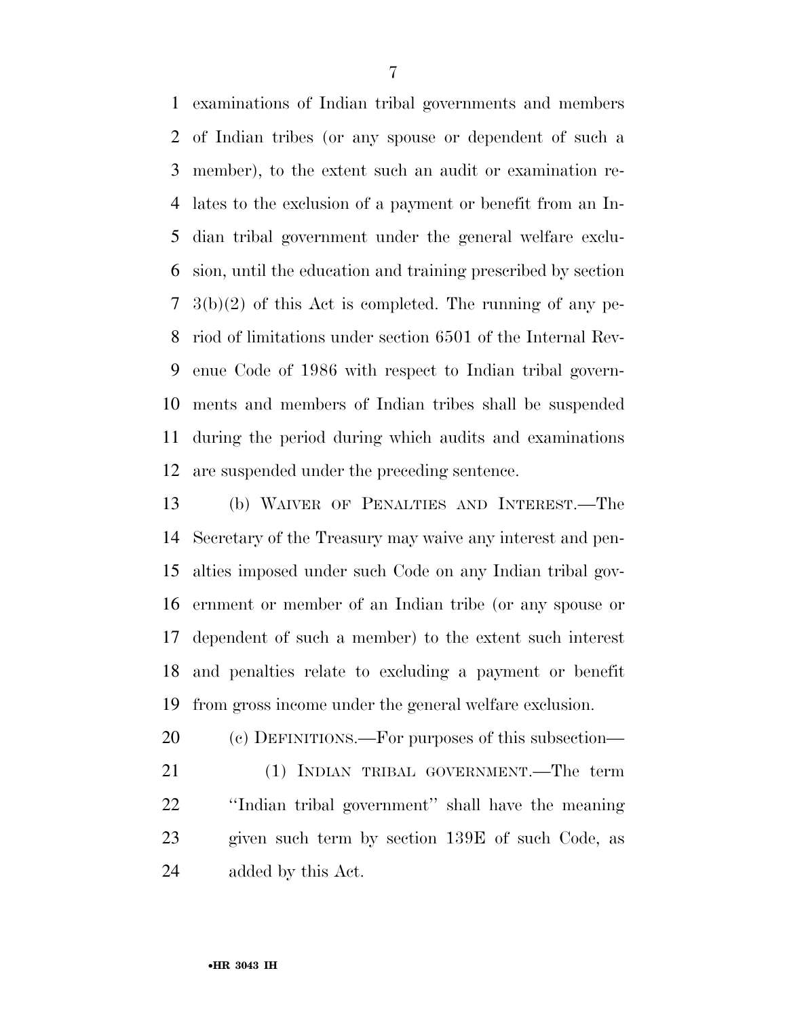examinations of Indian tribal governments and members of Indian tribes (or any spouse or dependent of such a member), to the extent such an audit or examination re- lates to the exclusion of a payment or benefit from an In- dian tribal government under the general welfare exclu- sion, until the education and training prescribed by section 3(b)(2) of this Act is completed. The running of any pe- riod of limitations under section 6501 of the Internal Rev- enue Code of 1986 with respect to Indian tribal govern- ments and members of Indian tribes shall be suspended during the period during which audits and examinations are suspended under the preceding sentence.

 (b) WAIVER OF PENALTIES AND INTEREST.—The Secretary of the Treasury may waive any interest and pen- alties imposed under such Code on any Indian tribal gov- ernment or member of an Indian tribe (or any spouse or dependent of such a member) to the extent such interest and penalties relate to excluding a payment or benefit from gross income under the general welfare exclusion.

(c) DEFINITIONS.—For purposes of this subsection—

 (1) INDIAN TRIBAL GOVERNMENT.—The term ''Indian tribal government'' shall have the meaning given such term by section 139E of such Code, as added by this Act.